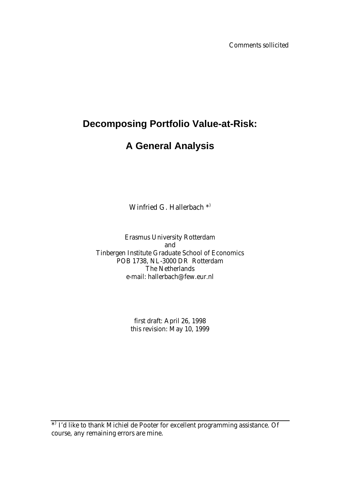Comments sollicited

## **Decomposing Portfolio Value-at-Risk:**

# **A General Analysis**

Winfried G. Hallerbach<sup>\*</sup>

Erasmus University Rotterdam and Tinbergen Institute Graduate School of Economics POB 1738, NL-3000 DR Rotterdam The Netherlands e-mail: hallerbach@few.eur.nl

> first draft: April 26, 1998 this revision: May 10, 1999

\*) I'd like to thank Michiel de Pooter for excellent programming assistance. Of course, any remaining errors are mine.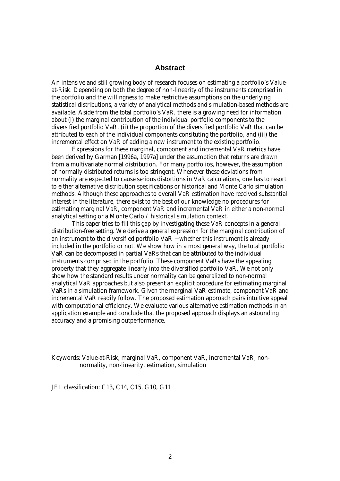## **Abstract**

An intensive and still growing body of research focuses on estimating a portfolio's Valueat-Risk. Depending on both the degree of non-linearity of the instruments comprised in the portfolio and the willingness to make restrictive assumptions on the underlying statistical distributions, a variety of analytical methods and simulation-based methods are available. Aside from the total portfolio's VaR, there is a growing need for information about *(i)* the marginal contribution of the individual portfolio components to the diversified portfolio VaR, *(ii)* the proportion of the diversified portfolio VaR that can be attributed to each of the individual components consituting the portfolio, and *(iii)* the incremental effect on VaR of adding a new instrument to the existing portfolio.

Expressions for these marginal, component and incremental VaR metrics have been derived by Garman [1996a, 1997a] under the assumption that returns are drawn from a multivariate normal distribution. For many portfolios, however, the assumption of normally distributed returns is too stringent. Whenever these deviations from normality are expected to cause serious distortions in VaR calculations, one has to resort to either alternative distribution specifications or historical and Monte Carlo simulation methods. Although these approaches to overall VaR estimation have received substantial interest in the literature, there exist to the best of our knowledge no procedures for estimating marginal VaR, component VaR and incremental VaR in either a non-normal analytical setting or a Monte Carlo / historical simulation context.

This paper tries to fill this gap by investigating these VaR concepts in a general distribution-free setting. We derive a general expression for the marginal contribution of an instrument to the diversified portfolio VaR − whether this instrument is already included in the portfolio or not. We show how in a most general way, the total portfolio VaR can be decomposed in partial VaRs that can be attributed to the individual instruments comprised in the portfolio. These component VaRs have the appealing property that they aggregate linearly into the diversified portfolio VaR. We not only show how the standard results under normality can be generalized to non-normal analytical VaR approaches but also present an explicit procedure for estimating marginal VaRs in a simulation framework. Given the marginal VaR estimate, component VaR and incremental VaR readily follow. The proposed estimation approach pairs intuitive appeal with computational efficiency. We evaluate various alternative estimation methods in an application example and conclude that the proposed approach displays an astounding accuracy and a promising outperformance.

*Keywords:* Value-at-Risk, marginal VaR, component VaR, incremental VaR, nonnormality, non-linearity, estimation, simulation

*JEL classification: C13, C14, C15, G10, G11*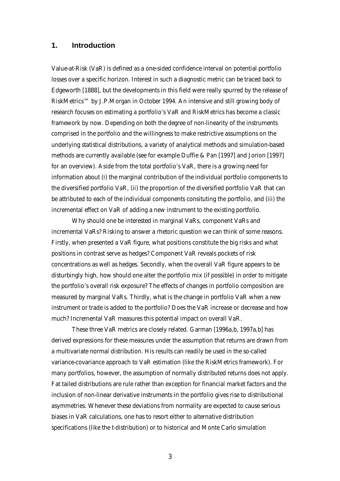## **1. Introduction**

Value-at-Risk (VaR) is defined as a one-sided confidence interval on potential portfolio losses over a specific horizon. Interest in such a diagnostic metric can be traced back to Edgeworth [1888], but the developments in this field were really spurred by the release of *RiskMetrics*™ by J.P.Morgan in October 1994. An intensive and still growing body of research focuses on estimating a portfolio's VaR and *RiskMetrics* has become a classic framework by now. Depending on both the degree of non-linearity of the instruments comprised in the portfolio and the willingness to make restrictive assumptions on the underlying statistical distributions, a variety of analytical methods and simulation-based methods are currently available (see for example Duffie & Pan [1997] and Jorion [1997] for an overview). Aside from the total portfolio's VaR, there is a growing need for information about *(i)* the marginal contribution of the individual portfolio components to the diversified portfolio VaR, *(ii)* the proportion of the diversified portfolio VaR that can be attributed to each of the individual components consituting the portfolio, and *(iii)* the incremental effect on VaR of adding a new instrument to the existing portfolio.

Why should one be interested in marginal VaRs, component VaRs and incremental VaRs? Risking to answer a rhetoric question we can think of some reasons. Firstly, when presented a VaR figure, what positions constitute the big risks and what positions in contrast serve as hedges? Component VaR reveals pockets of risk concentrations as well as hedges. Secondly, when the overall VaR figure appears to be disturbingly high, how should one alter the portfolio mix (if possible) in order to mitigate the portfolio's overall risk exposure? The effects of changes in portfolio composition are measured by marginal VaRs. Thirdly, what is the change in portfolio VaR when a new instrument or trade is added to the portfolio? Does the VaR increase or decrease and how much? Incremental VaR measures this potential impact on overall VaR.

These three VaR metrics are closely related. Garman [1996a,b, 1997a,b] has derived expressions for these measures under the assumption that returns are drawn from a multivariate normal distribution. His results can readily be used in the so-called variance-covariance approach to VaR estimation (like the *RiskMetrics* framework). For many portfolios, however, the assumption of normally distributed returns does not apply. Fat tailed distributions are rule rather than exception for financial market factors and the inclusion of non-linear derivative instruments in the portfolio gives rise to distributional asymmetries. Whenever these deviations from normality are expected to cause serious biases in VaR calculations, one has to resort either to alternative distribution specifications (like the t-distribution) or to historical and Monte Carlo simulation

3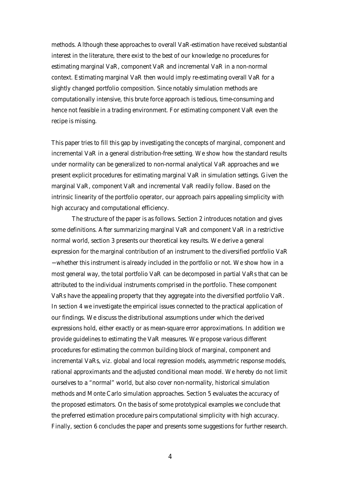methods. Although these approaches to overall VaR-estimation have received substantial interest in the literature, there exist to the best of our knowledge no procedures for estimating marginal VaR, component VaR and incremental VaR in a non-normal context. Estimating marginal VaR then would imply re-estimating overall VaR for a slightly changed portfolio composition. Since notably simulation methods are computationally intensive, this brute force approach is tedious, time-consuming and hence not feasible in a trading environment. For estimating component VaR even the recipe is missing.

This paper tries to fill this gap by investigating the concepts of marginal, component and incremental VaR in a general distribution-free setting. We show how the standard results under normality can be generalized to non-normal analytical VaR approaches and we present explicit procedures for estimating marginal VaR in simulation settings. Given the marginal VaR, component VaR and incremental VaR readily follow. Based on the intrinsic linearity of the portfolio operator, our approach pairs appealing simplicity with high accuracy and computational efficiency.

The structure of the paper is as follows. Section 2 introduces notation and gives some definitions. After summarizing marginal VaR and component VaR in a restrictive normal world, section 3 presents our theoretical key results. We derive a general expression for the marginal contribution of an instrument to the diversified portfolio VaR − whether this instrument is already included in the portfolio or not. We show how in a most general way, the total portfolio VaR can be decomposed in partial VaRs that can be attributed to the individual instruments comprised in the portfolio. These component VaRs have the appealing property that they aggregate into the diversified portfolio VaR. In section 4 we investigate the empirical issues connected to the practical application of our findings. We discuss the distributional assumptions under which the derived expressions hold, either exactly or as mean-square error approximations. In addition we provide guidelines to estimating the VaR measures. We propose various different procedures for estimating the common building block of marginal, component and incremental VaRs, viz. global and local regression models, asymmetric response models, rational approximants and the adjusted conditional mean model. We hereby do not limit ourselves to a "normal" world, but also cover non-normality, historical simulation methods and Monte Carlo simulation approaches. Section 5 evaluates the accuracy of the proposed estimators. On the basis of some prototypical examples we conclude that the preferred estimation procedure pairs computational simplicity with high accuracy. Finally, section 6 concludes the paper and presents some suggestions for further research.

4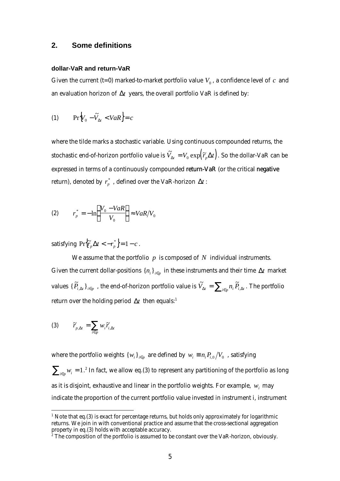## **2. Some definitions**

#### **dollar-VaR and return-VaR**

Given the current  $(t=0)$  marked-to-market portfolio value  $V_0$ , a confidence level of  $c$  and an evaluation horizon of  $\Delta t$  years, the overall portfolio VaR is defined by:

$$
(1) \qquad \Pr\Bigl[V_0 - \widetilde{V}_{\Delta t} < VaR\Bigr] = c
$$

where the tilde marks a stochastic variable. Using continuous compounded returns, the stochastic end-of-horizon portfolio value is  $\tilde{V}_{\bm{D}t} = V_0 \exp \! \left(\widetilde{r}_{p} \bm{D} t \right)$ . So the dollar-VaR can be expressed in terms of a continuously compounded return-VaR (or the critical negative return), denoted by  $\overline{r_p^*}$  , defined over the VaR-horizon  $\Delta t$  :

$$
(2) \qquad r_p^* = -\ln\left(\frac{V_0 - VaR}{V_0}\right) \approx VaR/V_0
$$

satisfying  ${Pr}$   $\left\{ \widetilde{r}_p \Delta t < -r_p^* \right\} = 1 - c$ .

We assume that the portfolio *p* is composed of *N* individual instruments. Given the current dollar-positions  $\{n_i\}_{i \in p}$  in these instruments and their time  $\Delta t$  market values  $\{\widetilde{P}_{i,\Delta t}\}_{i\in p}$  , the end-of-horizon portfolio value is  $\widetilde{V}_{\Delta t}=\sum_{i\in p}n_i\widetilde{P}_{i,\Delta t}$  . The portfolio return over the holding period  $\Delta t$  then equals:<sup>1</sup>

$$
(3) \qquad \widetilde{r}_{p,\textbf{D}t} = \sum_{i \in p} w_i \widetilde{r}_{i,\textbf{D}t}
$$

 $\overline{a}$ 

where the portfolio weights  $\{w_i\}_{i \in p}$  are defined by  $w_i \equiv n_i P_{i,0} / V_0$  , satisfying  $\sum_{i\in p} w_i = 1.^2$  In fact, we allow eq.(3) to represent any partitioning of the portfolio as long as it is disjoint, exhaustive and linear in the portfolio weights. For example,  $w_i$  may indicate the proportion of the current portfolio value invested in instrument *i*, instrument

 $1$  Note that eq.(3) is exact for percentage returns, but holds only approximately for logarithmic returns. We join in with conventional practice and assume that the cross-sectional aggregation property in eq.(3) holds with acceptable accuracy.<br><sup>2</sup> The composition of the portfolio is assumed to be constant over the VaR-horizon, obviously.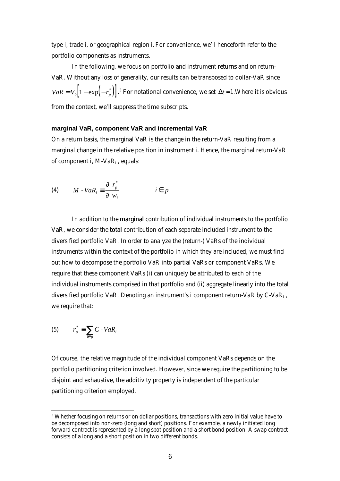type *i*, trade *i*, or geographical region *i*.For convenience, we'll henceforth refer to the portfolio components as instruments.

In the following, we focus on portfolio and instrument returns and on return-VaR. Without any loss of generality, our results can be transposed to dollar-VaR since  $VaR = V_0 \left[1 - \exp\left(-r_p^*\right)\right]$ .<sup>3</sup> For notational convenience, we set  $\Delta t = 1$ . Where it is obvious from the context, we'll suppress the time subscripts.

### **marginal VaR, component VaR and incremental VaR**

On a return basis, the marginal VaR is the change in the return-VaR resulting from a marginal change in the relative position in instrument *i*. Hence, the marginal return-VaR of component *i*, M-VaR<sub>i</sub>, equals:

$$
(4) \qquad M - VaR_i \equiv \frac{\P \ r_p^*}{\P \ w_i} \qquad i \in p
$$

In addition to the marginal contribution of individual instruments to the portfolio VaR, we consider the total contribution of each separate included instrument to the diversified portfolio VaR. In order to analyze the (return-) VaRs of the individual instruments within the context of the portfolio in which they are included, we must find out how to decompose the portfolio VaR into partial VaRs or component VaRs. We require that these component VaRs *(i)* can uniquely be attributed to each of the individual instruments comprised in that portfolio and *(ii)* aggregate linearly into the total diversified portfolio VaR. Denoting an instrument's *i* component return-VaR by C-VaR<sup>i</sup> , we require that:

$$
(5) \qquad r_p^* \equiv \sum_{i \in p} C - VaR_i
$$

 $\overline{a}$ 

Of course, the relative magnitude of the individual component VaRs depends on the portfolio partitioning criterion involved. However, since we require the partitioning to be disjoint and exhaustive, the additivity property is independent of the particular partitioning criterion employed.

 $3$  Whether focusing on returns or on dollar positions, transactions with zero initial value have to be decomposed into non-zero (long and short) positions. For example, a newly initiated long forward contract is represented by a long spot position and a short bond position. A swap contract consists of a long and a short position in two different bonds.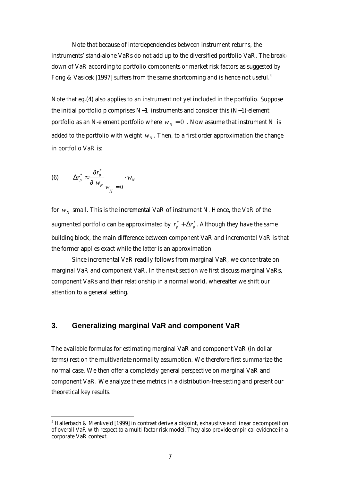Note that because of interdependencies between instrument returns, the instruments' stand-alone VaRs do not add up to the diversified portfolio VaR. The breakdown of VaR according to portfolio components or market risk factors as suggested by Fong & Vasicek [1997] suffers from the same shortcoming and is hence not useful.<sup>4</sup>

Note that eq.(4) also applies to an instrument not yet included in the portfolio. Suppose the initial portfolio *p* comprises *N-1* instruments and consider this (*N-1*)-element portfolio as an *N*-element portfolio where  $w<sub>N</sub> = 0$ . Now assume that instrument *N* is added to the portfolio with weight  $w_{\scriptscriptstyle N}$  . Then, to a first order approximation the change in portfolio VaR is:

$$
\text{(6)} \qquad \Delta r_p^* \approx \frac{\eta r_p^*}{\eta w_N}\bigg|_{W_N} = 0 \qquad w_N
$$

 $\overline{a}$ 

for  $w_N^{\parallel}$  small. This is the incremental VaR of instrument *N*. Hence, the VaR of the augmented portfolio can be approximated by  $r_p^* + \Delta r_p^*$ . Although they have the same building block, the main difference between component VaR and incremental VaR is that the former applies exact while the latter is an approximation.

Since incremental VaR readily follows from marginal VaR, we concentrate on marginal VaR and component VaR. In the next section we first discuss marginal VaRs, component VaRs and their relationship in a normal world, whereafter we shift our attention to a general setting.

## **3. Generalizing marginal VaR and component VaR**

The available formulas for estimating marginal VaR and component VaR (in dollar terms) rest on the multivariate normality assumption. We therefore first summarize the normal case. We then offer a completely general perspective on marginal VaR and component VaR. We analyze these metrics in a distribution-free setting and present our theoretical key results.

<sup>4</sup> Hallerbach & Menkveld [1999] in contrast derive a disjoint, exhaustive and linear decomposition of overall VaR with respect to a multi-factor risk model. They also provide empirical evidence in a corporate VaR context.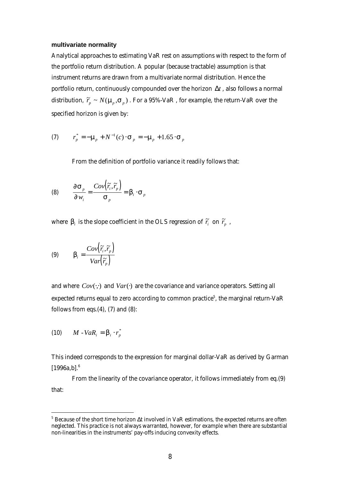#### **multivariate normality**

Analytical approaches to estimating VaR rest on assumptions with respect to the form of the portfolio return distribution. A popular (because tractable) assumption is that instrument returns are drawn from a multivariate normal distribution. Hence the portfolio return, continuously compounded over the horizon Δ*t* , also follows a normal distribution,  $\widetilde{r}_p \thicksim N(\bm{m}_p^{},\bm{s}_p^{})$  . For a 95%-VaR , for example, the return-VaR over the specified horizon is given by:

(7) 
$$
r_p^* = -\mathbf{m}_p + N^{-1}(c) \cdot \mathbf{S}_p = -\mathbf{m}_p + 1.65 \cdot \mathbf{S}_p
$$

From the definition of portfolio variance it readily follows that:

(8) 
$$
\frac{\P{\mathbf{S}_p}}{\P{w_i}} = \frac{Cov(\tilde{r}_i, \tilde{r}_p)}{\mathbf{S}_p} = \mathbf{b}_i \cdot \mathbf{S}_p
$$

where  $\bm{b}_i$  is the slope coefficient in the OLS regression of  $\widetilde{r}_i$  on  $\widetilde{r}_p$  ,

(9) 
$$
\boldsymbol{b}_i = \frac{Cov(\tilde{r}_i, \tilde{r}_p)}{Var(\tilde{r}_p)}
$$

and where  $Cov(\cdot, \cdot)$  and  $Var(\cdot)$  are the covariance and variance operators. Setting all expected returns equal to zero according to common practice<sup>5</sup>, the marginal return-VaR follows from eqs. $(4)$ ,  $(7)$  and  $(8)$ :

$$
(10) \qquad M - VaR_i = \boldsymbol{b}_i \cdot \boldsymbol{r}_p^*
$$

 $\overline{a}$ 

This indeed corresponds to the expression for marginal dollar-VaR as derived by Garman  $[1996a,b]$ .<sup>6</sup>

From the linearity of the covariance operator, it follows immediately from eq.(9) that:

<sup>5</sup> Because of the short time horizon *Dt* involved in VaR estimations, the expected returns are often neglected. This practice is not always warranted, however, for example when there are substantial non-linearities in the instruments' pay-offs inducing convexity effects.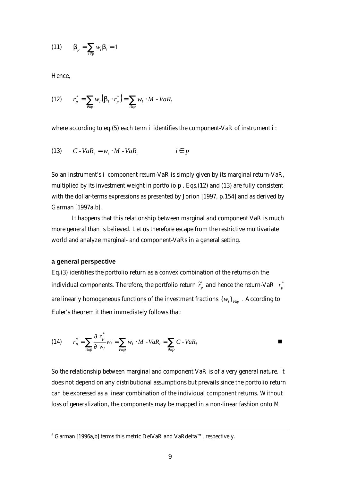$$
(11) \qquad \boldsymbol{b}_p = \sum_{i \in p} w_i \boldsymbol{b}_i = 1
$$

Hence,

$$
(12) \qquad r_p^* = \sum_{i \in p} w_i \left( \boldsymbol{b}_i \cdot r_p^* \right) = \sum_{i \in p} w_i \cdot M - VaR_i
$$

where according to eq.(5) each term *i* identifies the component-VaR of instrument *i* :

(13) 
$$
C - VaR_i = w_i \cdot M - VaR_i \qquad i \in p
$$

So an instrument's *i* component return-VaR is simply given by its marginal return-VaR, multiplied by its investment weight in portfolio *p* . Eqs.(12) and (13) are fully consistent with the dollar-terms expressions as presented by Jorion [1997, p.154] and as derived by Garman [1997a,b].

It happens that this relationship between marginal and component VaR is much more general than is believed. Let us therefore escape from the restrictive multivariate world and analyze marginal- and component-VaRs in a general setting.

#### **a general perspective**

 $\overline{a}$ 

Eq.(3) identifies the portfolio return as a convex combination of the returns on the individual components. Therefore, the portfolio return  $\widetilde{r}_p$  and hence the return-VaR  $\; r_p^\ast$ are linearly homogeneous functions of the investment fractions  $\{w_i\}_{i\in p}$  . According to Euler's theorem it then immediately follows that:

(14) 
$$
r_p^* = \sum_{i \in p} \frac{\int \int r_p^*}{\int \int w_i} w_i = \sum_{i \in p} w_i \cdot M - VaR_i = \sum_{i \in p} C - VaR_i
$$

So the relationship between marginal and component VaR is of a very general nature. It does not depend on any distributional assumptions but prevails since the portfolio return can be expressed as a linear combination of the individual component returns. Without loss of generalization, the components may be mapped in a non-linear fashion onto M

 $6$  Garman [1996a,b] terms this metric DelVaR and VaRdelta<sup>™</sup>, respectively.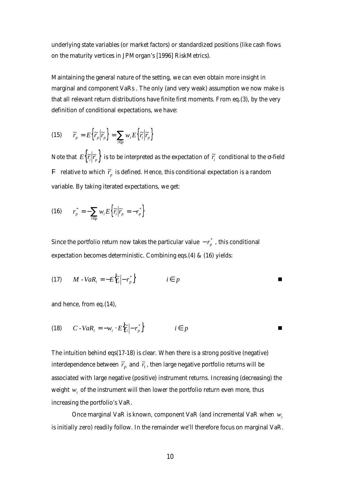underlying state variables (or market factors) or standardized positions (like cash flows on the maturity vertices in JPMorgan's [1996] *RiskMetrics*).

Maintaining the general nature of the setting, we can even obtain more insight in marginal and component VaRs . The only (and very weak) assumption we now make is that all relevant return distributions have finite first moments. From eq.(3), by the very definition of conditional expectations, we have:

(15) 
$$
\widetilde{r}_p = E\Big\{\widetilde{r}_p \Big|\widetilde{r}_p\Big\} = \sum_{i \in p} w_i E\Big\{\widetilde{r}_i \Big|\widetilde{r}_p\Big\}
$$

Note that  $E\big\{\widetilde r_i\big\vert \widetilde r_p\big\}$  is to be interpreted as the expectation of  $\widetilde r_i\,$  conditional to the  $\sigma$ -field F ) relative to which  $\widetilde{r}_p$  is defined. Hence, this conditional expectation is a random variable. By taking iterated expectations, we get:

$$
(16) \qquad r_p^* = -\sum_{i \in p} w_i E\Big\{\widetilde{r}_i \Big|\widetilde{r}_p = -r_p^*\Big\}
$$

Since the portfolio return now takes the particular value  $-r_p^\ast$  , this conditional expectation becomes deterministic. Combining eqs.(4) & (16) yields:

$$
(17) \qquad M - VaR_i = -E\left\{\widetilde{r}_i \middle| -r_p^*\right\} \qquad \qquad i \in p
$$

and hence, from eq.(14),

$$
(18) \qquad C - VaR_i = -w_i \cdot E\Big\{\widetilde{r}_i \Big| - r_p^* \Big\} \qquad \qquad i \in p
$$

The intuition behind eqs(17-18) is clear. When there is a strong positive (negative) interdependence between  $\widetilde{r}_p$  and  $\widetilde{r}_i$  , then large negative portfolio returns will be associated with large negative (positive) instrument returns. Increasing (decreasing) the weight  $w_i$  of the instrument will then lower the portfolio return even more, thus increasing the portfolio's VaR.

Once marginal VaR is known, component VaR (and incremental VaR when *w<sup>i</sup>* is initially zero) readily follow. In the remainder we'll therefore focus on marginal VaR.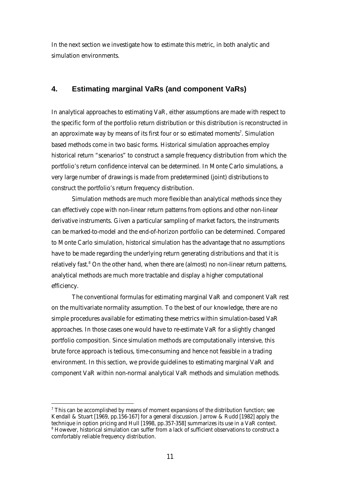In the next section we investigate how to estimate this metric, in both analytic and simulation environments.

## **4. Estimating marginal VaRs (and component VaRs)**

In analytical approaches to estimating VaR, either assumptions are made with respect to the specific form of the portfolio return distribution or this distribution is reconstructed in an approximate way by means of its first four or so estimated moments<sup>7</sup>. Simulation based methods come in two basic forms. Historical simulation approaches employ historical return "scenarios" to construct a sample frequency distribution from which the portfolio's return confidence interval can be determined. In Monte Carlo simulations, a very large number of drawings is made from predetermined (joint) distributions to construct the portfolio's return frequency distribution.

Simulation methods are much more flexible than analytical methods since they can effectively cope with non-linear return patterns from options and other non-linear derivative instruments. Given a particular sampling of market factors, the instruments can be marked-to-model and the end-of-horizon portfolio can be determined. Compared to Monte Carlo simulation, historical simulation has the advantage that no assumptions have to be made regarding the underlying return generating distributions and that it is relatively fast.<sup>8</sup> On the other hand, when there are (almost) no non-linear return patterns, analytical methods are much more tractable and display a higher computational efficiency.

The conventional formulas for estimating marginal VaR and component VaR rest on the multivariate normality assumption. To the best of our knowledge, there are no simple procedures available for estimating these metrics within simulation-based VaR approaches. In those cases one would have to re-estimate VaR for a slightly changed portfolio composition. Since simulation methods are computationally intensive, this brute force approach is tedious, time-consuming and hence not feasible in a trading environment. In this section, we provide guidelines to estimating marginal VaR and component VaR within non-normal analytical VaR methods and simulation methods.

 $\overline{a}$ 

 $7$  This can be accomplished by means of moment expansions of the distribution function; see Kendall & Stuart [1969, pp.156-167] for a general discussion. Jarrow & Rudd [1982] apply the technique in option pricing and Hull [1998, pp.357-358] summarizes its use in a VaR context.  $^8$  However, historical simulation can suffer from a lack of sufficient observations to construct a comfortably reliable frequency distribution.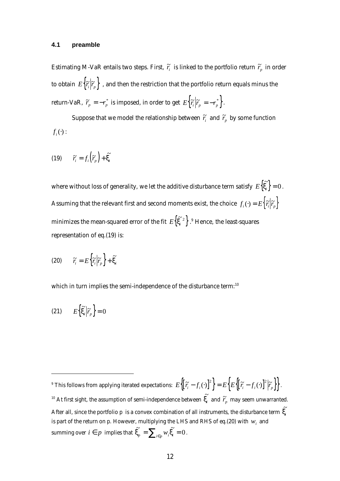#### **4.1 preamble**

Estimating M-VaR entails two steps. First,  $\widetilde{r_i}$  is linked to the portfolio return  $\widetilde{r}_p$  in order to obtain  $\ E\big\{\widetilde r_i\big\vert \widetilde r_p\big\}$  , and then the restriction that the portfolio return equals minus the  $r_{\rm F}$  return-VaR,  $\widetilde{r}_{\rm p} = -r_{\rm p}^*$  is imposed, in order to get  $E\left\{\widetilde{r}_{\rm i}\Big|\widetilde{r}_{\rm p} = -r_{\rm p}^*\right\}.$ 

Suppose that we model the relationship between  $\widetilde{r}_i^*$  and  $\widetilde{r}_p^*$  by some function  $f_i(\cdot)$  :

$$
(19) \qquad \widetilde{r_i} = f_i\left(\widetilde{r_p}\right) + \widetilde{\mathbf{x}_i}
$$

where without loss of generality, we let the additive disturbance term satisfy  $E\{{\bf x}_i\}$  :  $\left\{ \widetilde{\mathbf{x}}_i \right\} = 0$ . Assuming that the relevant first and second moments exist, the choice  $f_i(\cdot) = E\Big\{\widetilde{r_i}\Big|\widetilde{r_p}\Big\}$ minimizes the mean-squared error of the fit  $E\{\mathbf{x}^2\}$  .  $\widetilde{\mathbf{x}}^{2}$   $\}$  .<sup>9</sup> Hence, the least-squares representation of eq.(19) is:

$$
(20) \qquad \widetilde{r_i} = E\bigg\{\widetilde{r_i}\bigg|\widetilde{r_p}\bigg\} + \widetilde{\mathbf{x}_i}
$$

which in turn implies the semi-independence of the disturbance term:<sup>10</sup>

$$
(21) \t E\left\{\widetilde{\mathbf{x}}_i \middle| \widetilde{r}_p\right\} = 0
$$

 $\overline{a}$ 

<sup>&</sup>lt;sup>9</sup> This follows from applying iterated expectations:  $E\biggl\{\bigl[\widetilde{r_i} - f_i(\cdot)\bigr]^2\biggr\} = E\biggl\{E\biggl\{\bigl[\widetilde{r_i} - f_i(\cdot)\bigr]^2\biggl|\widetilde{r_p}\biggr\}\biggr\} \, .$ <sup>10</sup> At first sight, the assumption of semi-independence between  $\widetilde{\boldsymbol{X}_i}$  and  $\widetilde{\boldsymbol{r}}_p$  may seem unwarranted. After all, since the portfolio  $p$  is a convex combination of all instruments, the disturbance term  $\tilde{\boldsymbol{x}_i}$ is part of the return on  $p$ . However, multiplying the LHS and RHS of eq.(20) with  $w_i^+$  and summing over  $i \in p$  implies that  $\widetilde{\mathbf{x}}_p = \sum_{i \in p} w_i \widetilde{\mathbf{x}}_i = 0$ .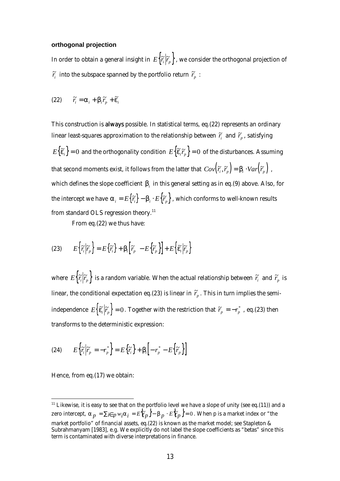#### **orthogonal projection**

In order to obtain a general insight in  $\ E\bigl\{\widetilde r_i\bigl| \widetilde r_p\bigr\}$  , we consider the orthogonal projection of  $\widetilde{r}_i$  into the subspace spanned by the portfolio return  $\widetilde{r}_p$ :

(22) 
$$
\widetilde{r}_i = \mathbf{a}_i + \mathbf{b}_i \widetilde{r}_p + \widetilde{\mathbf{e}}_i
$$

This construction is always possible. In statistical terms, eq.(22) represents an ordinary linear least-squares approximation to the relationship between  $\widetilde{r_i}$  and  $\widetilde{r}_p$  , satisfying  $E\big\{\bm{\widetilde{e}}_i\big\}=0$  and the orthogonality condition  $E\big\{\bm{\widetilde{e}}_i\widetilde{r}_p\big\}=0$  of the disturbances. Assuming that second moments exist, it follows from the latter that  $Cov\big(\widetilde{r_i},\widetilde{r_p}\big)=\bm{b}_i\cdot Var\big(\widetilde{r_p}\big)$  , which defines the slope coefficient  $\bm{b}_i$  in this general setting as in eq.(9) above. Also, for the intercept we have  $\bm{a}_i = E\big\{\widetilde{r}_i\big\} - \bm{b}_i\cdot E\big\{\widetilde{r}_p\big\}$  , which conforms to well-known results from standard OLS regression theory.<sup>11</sup>

From eq.(22) we thus have:

(23) 
$$
E\left\{\widetilde{r}_i\middle|\widetilde{r}_p\right\} = E\left\{\widetilde{r}_i\right\} + \boldsymbol{b}_i\left[\widetilde{r}_p - E\left\{\widetilde{r}_p\right\}\right] + E\left\{\widetilde{\boldsymbol{e}}_i\middle|\widetilde{r}_p\right\}
$$

where  $E\big\{\widetilde{r_i}\big|\widetilde{r_p}\big\}$  is a random variable. When the actual relationship between  $\widetilde{r_i}$  and  $\widetilde{r_p}$  is linear, the conditional expectation eq.(23) is linear in  $\widetilde{r}_p$  . This in turn implies the semiindependence  $E\Big\{\bm{\widetilde{e}}_i\Big|\bm{\widetilde{r}}_p\Big\}=0$  . Together with the restriction that  $\bm{\widetilde{r}}_p=-r_p^*$  , eq.(23) then transforms to the deterministic expression:

(24) 
$$
E\left\{\widetilde{r}_i\bigg|\widetilde{r}_p = -r_p^*\right\} = E\left\{\widetilde{r}_i\right\} + \boldsymbol{b}_i\bigg[-r_p^* - E\bigg\{\widetilde{r}_p\bigg\}\bigg]
$$

Hence, from eq.(17) we obtain:

 $\overline{a}$ 

 $11$  Likewise, it is easy to see that on the portfolio level we have a slope of unity (see eq.(11)) and a zero intercept,  $a_p = \sum_{i \in p} w_i a_i = E\{\widetilde{r}_p\} - \bm{b}_p \cdot E\{\widetilde{r}_p\} = 0$ . When  $p$  is a market index or "the market portfolio" of financial assets, eq.(22) is known as the market model; see Stapleton & Subrahmanyam [1983], e.g. We explicitly do not label the slope coefficients as "betas" since this term is contaminated with diverse interpretations in finance.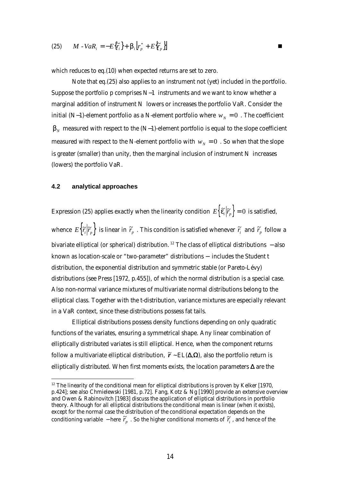$$
(25) \qquad M - VaR_i = -E\{\widetilde{r}_i\} + \boldsymbol{b}_i\bigl[r_p^* + E\bigl\{\widetilde{r}_p^*\bigr\}\bigr]
$$

which reduces to eq.(10) when expected returns are set to zero.

Note that eq.(25) also applies to an instrument not (yet) included in the portfolio. Suppose the portfolio *p* comprises *N-1* instruments and we want to know whether a marginal addition of instrument *N* lowers or increases the portfolio VaR. Consider the initial (*N*-*1*)-element portfolio as a *N*-element portfolio where  $w_N = 0$ . The coefficient  $\bm{b}_N$  measured with respect to the (*N*- *1*)-element portfolio is equal to the slope coefficient measured with respect to the *N*-element portfolio with  $w_N = 0$ . So when that the slope is greater (smaller) than unity, then the marginal inclusion of instrument *N* increases (lowers) the portfolio VaR.

## **4.2 analytical approaches**

 $\overline{a}$ 

Expression (25) applies exactly when the linearity condition  $\; E\Big\{ \widetilde{\bm{e}_i} \Big| \widetilde{r}_p \Big\} = 0 \,$  is satisfied, whence  $E\Big\{\widetilde{r_i}\Big|\widetilde{r_p}\Big\}$  is linear in  $\widetilde{r_p}$  . This condition is satisfied whenever  $\widetilde{r_i}$  and  $\widetilde{r_p}$  follow a bivariate elliptical (or spherical) distribution. <sup>12</sup> The class of elliptical distributions − also known as location-scale or "two-parameter" distributions − includes the Student t distribution, the exponential distribution and symmetric stable (or Pareto-Lévy) distributions (see Press [1972, p.455]), of which the normal distribution is a special case. Also non-normal variance mixtures of multivariate normal distributions belong to the elliptical class. Together with the t-distribution, variance mixtures are especially relevant in a VaR context, since these distributions possess fat tails.

Elliptical distributions possess density functions depending on only quadratic functions of the variates, ensuring a symmetrical shape. Any linear combination of elliptically distributed variates is still elliptical. Hence, when the component returns follow a multivariate elliptical distribution,  $\tilde{r} \sim EL(\Delta, \Omega)$ , also the portfolio return is elliptically distributed. When first moments exists, the location parameters  $\Delta$  are the

 $12$  The linearity of the conditional mean for elliptical distributions is proven by Kelker [1970, p.424]; see also Chmielewski [1981, p.72]. Fang, Kotz & Ng [1990] provide an extensive overview and Owen & Rabinovitch [1983] discuss the application of elliptical distributions in portfolio theory. Although for all elliptical distributions the conditional mean is linear (when it exists), except for the normal case the distribution of the conditional expectation depends on the conditioning variable  $-$  here  $\tilde{r}_p$ . So the higher conditional moments of  $\tilde{r}_i$ , and hence of the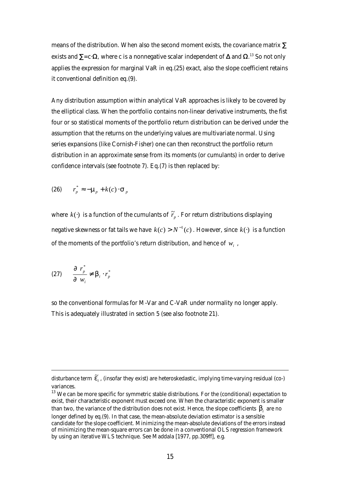means of the distribution. When also the second moment exists, the covariance matrix  $\Sigma$ exists and  $\Sigma$ =c·Ω, where c is a nonnegative scalar independent of Δ and Ω.<sup>13</sup> So not only applies the expression for marginal VaR in eq.(25) exact, also the slope coefficient retains it conventional definition eq.(9).

Any distribution assumption within analytical VaR approaches is likely to be covered by the elliptical class. When the portfolio contains non-linear derivative instruments, the fist four or so statistical moments of the portfolio return distribution can be derived under the assumption that the returns on the underlying values are multivariate normal. Using series expansions (like Cornish-Fisher) one can then reconstruct the portfolio return distribution in an approximate sense from its moments (or cumulants) in order to derive confidence intervals (see footnote 7). Eq.(7) is then replaced by:

(26) 
$$
r_p^* \approx -m_p + k(c) \cdot s_p
$$

where  $k(\cdot)$  is a function of the cumulants of  $\widetilde{r}_p$  . For return distributions displaying negative skewness or fat tails we have  $k(c) > N^{-1}(c)$  . However, since  $k(\cdot)$  is a function of the moments of the portfolio's return distribution, and hence of  $w_i$ ,

$$
(27) \qquad \frac{\P \ r_p^*}{\P \ w_i} \neq \boldsymbol{b}_i \cdot r_p^*
$$

 $\overline{a}$ 

so the conventional formulas for M-Var and C-VaR under normality no longer apply. This is adequately illustrated in section 5 (see also footnote 21).

disturbance term  $\,\bm{\widetilde{e}}_i$  , (insofar they exist) are heteroskedastic, implying time-varying residual (co-) variances.

<sup>&</sup>lt;sup>13</sup> We can be more specific for symmetric stable distributions. For the (conditional) expectation to exist, their characteristic exponent must exceed one. When the characteristic exponent is smaller than two, the variance of the distribution does not exist. Hence, the slope coefficients  $\bm{b}_i$  are no longer defined by eq.(9). In that case, the mean-absolute deviation estimator is a sensible candidate for the slope coefficient. Minimizing the mean-absolute deviations of the errors instead of minimizing the mean-square errors can be done in a conventional OLS regression framework by using an iterative WLS technique. See Maddala [1977, pp.309ff], e.g.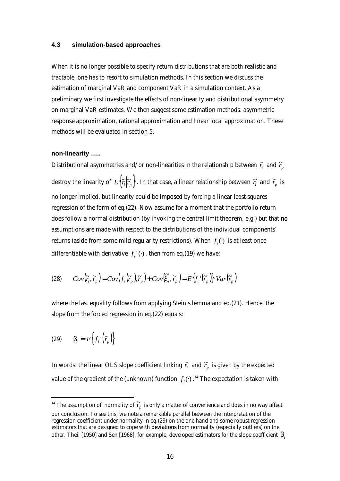#### **4.3 simulation-based approaches**

When it is no longer possible to specify return distributions that are both realistic and tractable, one has to resort to simulation methods. In this section we discuss the estimation of marginal VaR and component VaR in a simulation context. As a preliminary we first investigate the effects of non-linearity and distributional asymmetry on marginal VaR estimates. We then suggest some estimation methods: asymmetric response approximation, rational approximation and linear local approximation. These methods will be evaluated in section 5.

#### **non-linearity …..**

Distributional asymmetries and/or non-linearities in the relationship between  $\widetilde{r}_i^+$  and  $\widetilde{r}_p^+$ destroy the linearity of  $E\Big\{\widetilde r_i\Big\vert\widetilde r_p\Big\}$  . In that case, a linear relationship between  $\widetilde r_i$  and  $\widetilde r_p$  is no longer implied, but linearity could be imposed by forcing a linear least-squares regression of the form of eq.(22). Now assume for a moment that the portfolio return does follow a normal distribution (by invoking the central limit theorem, e.g.) but that no assumptions are made with respect to the distributions of the individual components' returns (aside from some mild regularity restrictions). When  $f_i(\cdot)$  is at least once differentiable with derivative  $f_i^{\dagger}(\cdot)$ , then from eq.(19) we have:

(28) 
$$
Cov(\widetilde{r}_i, \widetilde{r}_p) = Cov(f_i(\widetilde{r}_p), \widetilde{r}_p) + Cov(\widetilde{\mathbf{x}}_i, \widetilde{r}_p) = E(f_i'(\widetilde{r}_p)).Var(\widetilde{r}_p)
$$

where the last equality follows from applying Stein's lemma and eq.(21). Hence, the slope from the forced regression in eq.(22) equals:

$$
(29) \qquad \boldsymbol{b}_{i} = E\Big\{f_{i}\Big\vert(\widetilde{r}_{p}\Big)\Big\}
$$

 $\overline{a}$ 

In words: the linear OLS slope coefficient linking  $\widetilde{r}$  and  $\widetilde{r}$  is given by the expected value of the gradient of the (unknown) function  $f_i(\cdot)$  .<sup>14</sup> The expectation is taken with

 $^{14}$  The assumption of normality of  $\widetilde{r}_p^{\phantom{\dag}}$  is only a matter of convenience and does in no way affect our conclusion. To see this, we note a remarkable parallel between the interpretation of the regression coefficient under normality in eq.(29) on the one hand and some robust regression estimators that are designed to cope with deviations from normality (especially outliers) on the other. Theil [1950] and Sen [1968], for example, developed estimators for the slope coefficient *bi*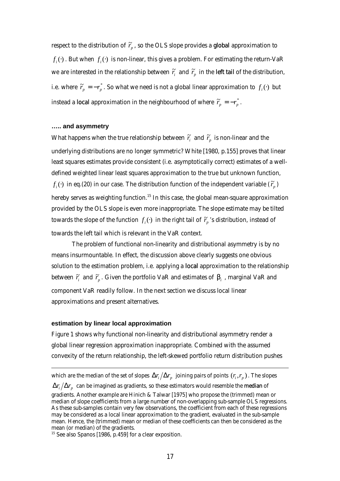respect to the distribution of  $\widetilde{r}_p$  , so the OLS slope provides a <mark>global</mark> approximation to  $f_i(\cdot)$  . But when  $f_i(\cdot)$  is non-linear, this gives a problem. For estimating the return-VaR we are interested in the relationship between  $\widetilde{r}_i$  and  $\widetilde{r}_p$  in the <mark>left tail</mark> of the distribution, i.e. where  $\widetilde{r}_p = -r_p^*$ . So what we need is not a global linear approximation to  $f_i(\cdot)$  but instead a local approximation in the neighbourhood of where  $\widetilde{r}_p = -r_p^*$  .

#### **….. and asymmetry**

What happens when the true relationship between  $\widetilde{r}_i^*$  and  $\widetilde{r}_p^*$  is non-linear and the underlying distributions are no longer symmetric? White [1980, p.155] proves that linear least squares estimates provide consistent (i.e. asymptotically correct) estimates of a welldefined weighted linear least squares approximation to the true but unknown function,  $f_i(\cdot)$  in eq.(20) in our case. The distribution function of the independent variable  $(\widetilde{r}_p)$ hereby serves as weighting function.<sup>15</sup> In this case, the global mean-square approximation provided by the OLS slope is even more inappropriate. The slope estimate may be tilted towards the slope of the function  $f_i(\cdot)$  in the right tail of  $\widetilde{r_p}$  's distribution, instead of towards the left tail which is relevant in the VaR context.

The problem of functional non-linearity and distributional asymmetry is by no means insurmountable. In effect, the discussion above clearly suggests one obvious solution to the estimation problem, i.e. applying a local approximation to the relationship between  $\widetilde{r}_i$  and  $\widetilde{r}_p$  . Given the portfolio VaR and estimates of  $\bm{b}_i$  , marginal VaR and component VaR readily follow. In the next section we discuss local linear approximations and present alternatives.

## **estimation by linear local approximation**

 $\overline{a}$ 

Figure 1 shows why functional non-linearity and distributional asymmetry render a global linear regression approximation inappropriate. Combined with the assumed convexity of the return relationship, the left-skewed portfolio return distribution pushes

which are the median of the set of slopes  $\bm{\mathit{Dr}}_i/\bm{\mathit{Dr}}_p$  joining pairs of points  $(r_i, r_p)$  . The slopes

 $\bm{D}$ *r*  $_{i}$   $/$   $\bm{D}$ *r*  $_{p}$   $\,$  can be imagined as gradients, so these estimators would resemble the **median** of

gradients. Another example are Hinich & Talwar [1975] who propose the (trimmed) mean or median of slope coefficients from a large number of non-overlapping sub-sample OLS regressions. As these sub-samples contain very few observations, the coefficient from each of these regressions may be considered as a local linear approximation to the gradient, evaluated in the sub-sample mean. Hence, the (trimmed) mean or median of these coefficients can then be considered as the mean (or median) of the gradients.

 $15$  See also Spanos [1986, p.459] for a clear exposition.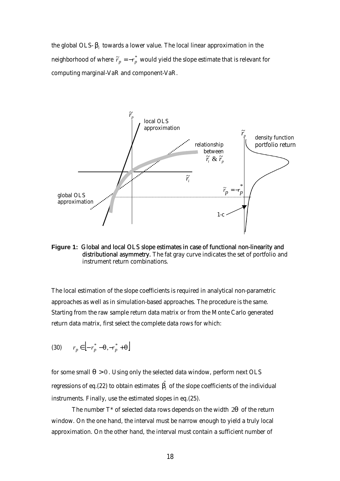the global OLS-  $\bm{b}_i$  towards a lower value. The local linear approximation in the neighborhood of where  $\widetilde{r}_p = - r_p^*$  would yield the slope estimate that is relevant for computing marginal-VaR and component-VaR.



**Figure 1:** Global and local OLS slope estimates in case of functional non-linearity and distributional asymmetry. The fat gray curve indicates the set of portfolio and instrument return combinations.

The local estimation of the slope coefficients is required in analytical non-parametric approaches as well as in simulation-based approaches. The procedure is the same. Starting from the raw sample return data matrix or from the Monte Carlo generated return data matrix, first select the complete data rows for which:

$$
(30) \qquad r_p \in \left[ -r_p^* - \mathbf{q}, -r_p^* + \mathbf{q} \right]
$$

for some small  $q > 0$ . Using only the selected data window, perform next OLS regressions of eq.(22) to obtain estimates  $\hat{\bm{b}_i}$  of the slope coefficients of the individual instruments. Finally, use the estimated slopes in eq.(25).

The number T\* of selected data rows depends on the width 2*q* of the return window. On the one hand, the interval must be narrow enough to yield a truly local approximation. On the other hand, the interval must contain a sufficient number of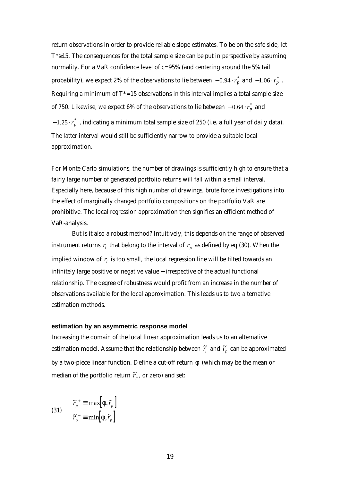return observations in order to provide reliable slope estimates. To be on the safe side, let  $T^* \geq 15$ . The consequences for the total sample size can be put in perspective by assuming normality. For a VaR confidence level of c=95% (and centering around the 5% tail probability), we expect 2% of the observations to lie between  $-0.94 \cdot r_p^*$  and  $-1.06 \cdot r_p^*$  . Requiring a minimum of  $T^*$ =15 observations in this interval implies a total sample size of 750. Likewise, we expect 6% of the observations to lie between  $-$  0.64  $\cdot$   $r_{p}^{*}$  and −1.25 ·  $r_p^*$  , indicating a minimum total sample size of 250 (i.e. a full year of daily data). The latter interval would still be sufficiently narrow to provide a suitable local approximation.

For Monte Carlo simulations, the number of drawings is sufficiently high to ensure that a fairly large number of generated portfolio returns will fall within a small interval. Especially here, because of this high number of drawings, brute force investigations into the effect of marginally changed portfolio compositions on the portfolio VaR are prohibitive. The local regression approximation then signifies an efficient method of VaR-analysis.

But is it also a robust method? Intuitively, this depends on the range of observed instrument returns  $r_i$  that belong to the interval of  $r_p$  as defined by eq.(30). When the implied window of  $r_{\scriptscriptstyle i}$  is too small, the local regression line will be tilted towards an infinitely large positive or negative value − irrespective of the actual functional relationship. The degree of robustness would profit from an increase in the number of observations available for the local approximation. This leads us to two alternative estimation methods.

#### **estimation by an asymmetric response model**

Increasing the domain of the local linear approximation leads us to an alternative estimation model. Assume that the relationship between  $\widetilde{r}_i^*$  and  $\widetilde{r}_p^*$  can be approximated by a two-piece linear function. Define a cut-off return *f* (which may be the mean or median of the portfolio return  $\widetilde{r}_p^{\phantom{\dag}}$  , or zero) and set:

(31) 
$$
\tilde{r}_{p}^{+} \equiv \max[F, \tilde{r}_{p}]
$$

$$
\tilde{r}_{p}^{-} \equiv \min[F, \tilde{r}_{p}]
$$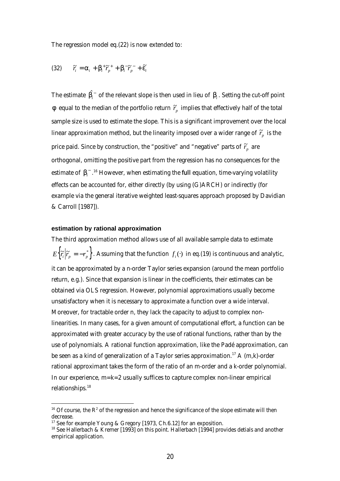The regression model eq.(22) is now extended to:

(32) 
$$
\widetilde{r}_i = \mathbf{a}_i + \mathbf{b}_i^+ \widetilde{r}_p^+ + \mathbf{b}_i^- \widetilde{r}_p^- + \widetilde{\mathbf{e}}_i
$$

The estimate  $\hat{\bm{b}_i}^-$  of the relevant slope is then used in lieu of  $\bm{b}_i$  . Setting the cut-off point  $\bm{f}$  equal to the median of the portfolio return  $\widetilde{r}_p$  implies that effectively half of the total sample size is used to estimate the slope. This is a significant improvement over the local linear approximation method, but the linearity imposed over a wider range of  $\widetilde{r}_p^{\phantom{\dag}}$  is the price paid. Since by construction, the "positive" and "negative" parts of  $\widetilde{r}_p^{\phantom{\dag}}$  are orthogonal, omitting the positive part from the regression has no consequences for the estimate of  $\,bm{b}_{\!i}^{-}$   $\,$   $\,^{16}$  However, when estimating the full equation, time-varying volatility effects can be accounted for, either directly (by using (G)ARCH) or indirectly (for example via the general iterative weighted least-squares approach proposed by Davidian & Carroll [1987]).

### **estimation by rational approximation**

 $\overline{a}$ 

The third approximation method allows use of all available sample data to estimate  $E\Big\{\widetilde{r_i}\Big|\widetilde{r_p}=-r_p^*\Big\}$ . Assuming that the function  $f_i(\cdot)$  in eq.(19) is continuous and analytic, it can be approximated by a n-order Taylor series expansion (around the mean portfolio return, e.g.). Since that expansion is linear in the coefficients, their estimates can be obtained via OLS regression. However, polynomial approximations usually become unsatisfactory when it is necessary to approximate a function over a wide interval. Moreover, for tractable order n, they lack the capacity to adjust to complex nonlinearities. In many cases, for a given amount of computational effort, a function can be approximated with greater accuracy by the use of rational functions, rather than by the use of polynomials. A rational function approximation, like the Padé approximation, can be seen as a kind of generalization of a Taylor series approximation.<sup>17</sup> A  $(m, k)$ -order rational approximant takes the form of the ratio of an m-order and a k-order polynomial. In our experience,  $m=k=2$  usually suffices to capture complex non-linear empirical relationships.<sup>18</sup>

<sup>&</sup>lt;sup>16</sup> Of course, the  $R^2$  of the regression and hence the significance of the slope estimate will then decrease.

<sup>&</sup>lt;sup>17</sup> See for example Young & Gregory [1973, Ch.6.12] for an exposition.

<sup>&</sup>lt;sup>18</sup> See Hallerbach & Kremer [1993] on this point. Hallerbach [1994] provides detials and another empirical application.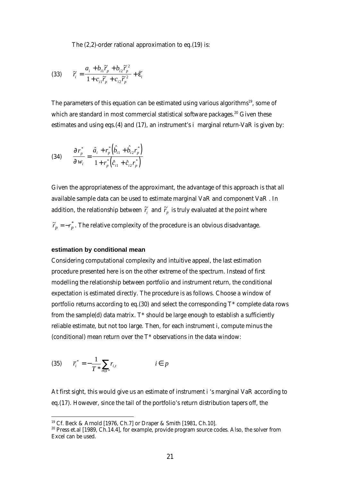The (2,2)-order rational approximation to eq.(19) is:

(33) 
$$
\widetilde{r}_i = \frac{a_i + b_{i1}\widetilde{r}_p + b_{i2}\widetilde{r}_p^2}{1 + c_{i1}\widetilde{r}_p + c_{i2}\widetilde{r}_p^2} + \widetilde{\boldsymbol{e}}_i
$$

The parameters of this equation can be estimated using various algorithms<sup>19</sup>, some of which are standard in most commercial statistical software packages.<sup>20</sup> Given these estimates and using eqs.(4) and (17), an instrument's *i* marginal return-VaR is given by:

(34) 
$$
\frac{\P r_p^*}{\P w_i} = \frac{\hat{a}_i + r_p^* \left( \hat{b}_{i1} + \hat{b}_{i2} r_p^* \right)}{1 + r_p^* \left( \hat{c}_{i1} + \hat{c}_{i2} r_p^* \right)}
$$

Given the appropriateness of the approximant, the advantage of this approach is that all available sample data can be used to estimate marginal VaR and component VaR . In addition, the relationship between  $\widetilde{r}_{i}$  and  $\widetilde{r}_{p}$  is truly evaluated at the point where

## $\widetilde{r}_p = -r_p^*$ . The relative complexity of the procedure is an obvious disadvantage.

#### **estimation by conditional mean**

Considering computational complexity and intuitive appeal, the last estimation procedure presented here is on the other extreme of the spectrum. Instead of first modelling the relationship between portfolio and instrument return, the conditional expectation is estimated directly. The procedure is as follows. Choose a window of portfolio returns according to eq.(30) and select the corresponding T\* complete data rows from the sample(d) data matrix.  $T^*$  should be large enough to establish a sufficiently reliable estimate, but not too large. Then, for each instrument *i*, compute minus the (conditional) mean return over the T\* observations in the data window:

(35) 
$$
\overline{r}_{i}^{*} = -\frac{1}{T} \sum_{t \in T^{*}} r_{i,t} \qquad i \in p
$$

 $\overline{a}$ 

At first sight, this would give us an estimate of instrument *i* 's marginal VaR according to eq.(17). However, since the tail of the portfolio's return distribution tapers off, the

<sup>19</sup> Cf. Beck & Arnold [1976, Ch.7] or Draper & Smith [1981, Ch.10].

<sup>20</sup> Press et.al [1989, Ch.14.4], for example, provide program source codes. Also, the solver from Excel can be used.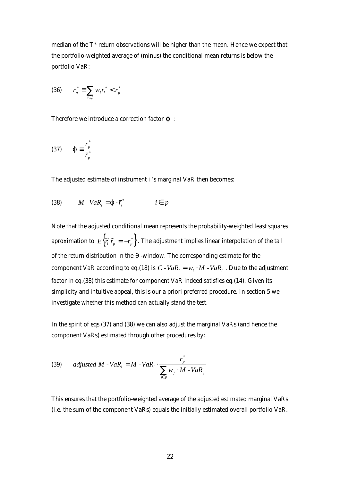median of the T\* return observations will be higher than the mean. Hence we expect that the portfolio-weighted average of (minus) the conditional mean returns is below the portfolio VaR:

$$
(36) \qquad \overline{r}_p^* \equiv \sum_{i \in p} w_i \overline{r}_i^* < r_p^*
$$

Therefore we introduce a correction factor *j* :

$$
(37) \qquad \boldsymbol{j} \equiv \frac{r_p^*}{\overline{r}_p^*}
$$

The adjusted estimate of instrument *i* 's marginal VaR then becomes:

$$
(38) \qquad M \cdot VaR_i = \mathbf{j} \cdot \overline{r_i}^* \qquad i \in p
$$

Note that the adjusted conditional mean represents the probability-weighted least squares aproximation to  $E\Big\{\widetilde r_i\Big|\widetilde r_p=-r_p^*\Big\}$  . The adjustment implies linear interpolation of the tail of the return distribution in the *q* -window. The corresponding estimate for the component VaR according to eq.(18) is  $C$  *- VaR*<sub>*i*</sub> =  $w_i \cdot M$  *- VaR*<sub>*i*</sub>. Due to the adjustment factor in eq.(38) this estimate for component VaR indeed satisfies eq.(14). Given its simplicity and intuitive appeal, this is our *a priori* preferred procedure. In section 5 we investigate whether this method can actually stand the test.

In the spirit of eqs.(37) and (38) we can also adjust the marginal VaRs (and hence the component VaRs) estimated through other procedures by:

(39) *adjusted M* - 
$$
VaR_i = M - VaR_i \cdot \frac{r_p^*}{\sum_{j \in p} w_j \cdot M - VaR_j}
$$

This ensures that the portfolio-weighted average of the adjusted estimated marginal VaRs (i.e. the sum of the component VaRs) equals the initially estimated overall portfolio VaR.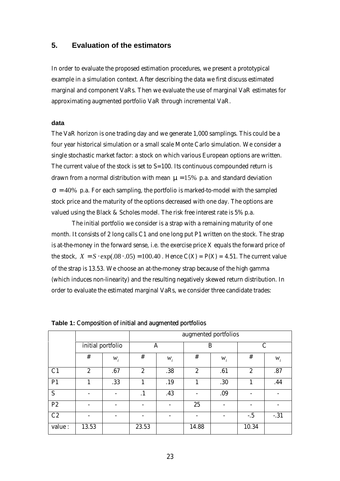## **5. Evaluation of the estimators**

In order to evaluate the proposed estimation procedures, we present a prototypical example in a simulation context. After describing the data we first discuss estimated marginal and component VaRs. Then we evaluate the use of marginal VaR estimates for approximating augmented portfolio VaR through incremental VaR.

## **data**

The VaR horizon is one trading day and we generate 1,000 samplings. This could be a four year historical simulation or a small scale Monte Carlo simulation. We consider a single stochastic market factor: a stock on which various European options are written. The current value of the stock is set to *S*=100. Its continuous compounded return is drawn from a normal distribution with mean  $m = 15%$  p.a. and standard deviation  $s = 40\%$  p.a. For each sampling, the portfolio is marked-to-model with the sampled stock price and the maturity of the options decreased with one day. The options are valued using the Black & Scholes model. The risk free interest rate is 5% p.a.

The initial portfolio we consider is a strap with a remaining maturity of one month. It consists of 2 long calls *C1* and one long put *P1* written on the stock. The strap is at-the-money in the forward sense, i.e. the exercise price X equals the forward price of the stock,  $X = S \cdot \exp(.08 \cdot .05) = 100.40$ . Hence  $C(X) = P(X) = 4.51$ . The current value of the strap is 13.53. We choose an at-the-money strap because of the high gamma (which induces non-linearity) and the resulting negatively skewed return distribution. In order to evaluate the estimated marginal VaRs, we consider three candidate trades:

|                |                          |       | augmented portfolios |       |                |                          |                          |                          |
|----------------|--------------------------|-------|----------------------|-------|----------------|--------------------------|--------------------------|--------------------------|
|                | initial portfolio        |       | A                    |       | B              |                          | $\mathcal{C}$            |                          |
|                | #                        | $W_i$ | #                    | $W_i$ | #              | $W_i$                    | #                        | $W_i$                    |
| C <sub>1</sub> | $\mathbf{2}$             | .67   | $\overline{2}$       | .38   | $\overline{2}$ | .61                      | $\boldsymbol{2}$         | .87                      |
| P <sub>1</sub> | 1                        | .33   | 1                    | .19   | 1              | .30                      | 1                        | .44                      |
| S              | $\overline{\phantom{a}}$ |       | $\cdot$ 1            | .43   |                | .09                      |                          | $\overline{\phantom{0}}$ |
| P <sub>2</sub> | $\overline{\phantom{a}}$ |       |                      |       | 25             | $\overline{\phantom{a}}$ | $\overline{\phantom{a}}$ | $\overline{\phantom{a}}$ |
| C2             | $\overline{\phantom{a}}$ |       |                      |       |                |                          | $-.5$                    | $-.31$                   |
| value:         | 13.53                    |       | 23.53                |       | 14.88          |                          | 10.34                    |                          |

**Table 1:** Composition of initial and augmented portfolios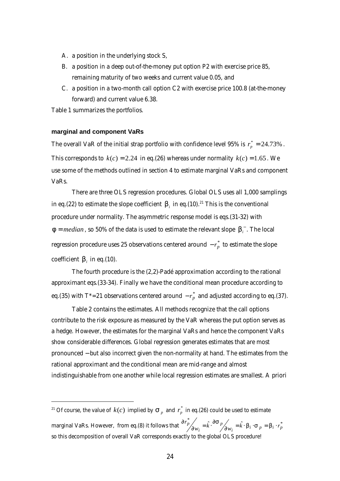- A. a position in the underlying stock *S*,
- B. a position in a deep out-of-the-money put option *P2* with exercise price 85, remaining maturity of two weeks and current value 0.05, and
- C. a position in a two-month call option *C2* with exercise price 100.8 (at-the-money forward) and current value 6.38.

Table 1 summarizes the portfolios.

### **marginal and component VaRs**

 $\overline{a}$ 

The overall VaR of the initial strap portfolio with confidence level 95% is  $r_p^* = 24.73\%$  . This corresponds to  $k(c) = 2.24$  in eq.(26) whereas under normality  $k(c) = 1.65$ . We use some of the methods outlined in section 4 to estimate marginal VaRs and component VaRs.

There are three OLS regression procedures. Global OLS uses all 1,000 samplings in eq.(22) to estimate the slope coefficient  $\bm{b}_i$  in eq.(10).<sup>21</sup> This is the conventional procedure under normality. The asymmetric response model is eqs.(31-32) with *f* = *median*, so 50% of the data is used to estimate the relevant slope **. The local** regression procedure uses 25 observations centered around  $-r_p^\ast$  to estimate the slope coefficient  $\bm{b}_i$  in eq.(10).

The fourth procedure is the (2,2)-Padé approximation according to the rational approximant eqs.(33-34). Finally we have the conditional mean procedure according to eq.(35) with T\*=21 observations centered around  $-r_p^*$  and adjusted according to eq.(37).

Table 2 contains the estimates. All methods recognize that the call options contribute to the risk exposure as measured by the VaR whereas the put option serves as a hedge. However, the estimates for the marginal VaRs and hence the component VaRs show considerable differences. Global regression generates estimates that are most pronounced − but also incorrect given the non-normality at hand. The estimates from the rational approximant and the conditional mean are mid-range and almost indistinguishable from one another while local regression estimates are smallest. A priori

<sup>&</sup>lt;sup>21</sup> Of course, the value of  $k(c)$  implied by  $\boldsymbol{s}_p^{}$  and  $\boldsymbol{r}_p^*$  in eq.(26) could be used to estimate marginal VaRs. However, from eq.(8) it follows that  $\frac{\partial r_p^*}{\partial w_i} = \hat{k} \cdot \frac{\partial s}{\partial w_i} = \hat{k} \cdot \mathbf{b}_i \cdot \mathbf{s}_p = \mathbf{b}_i \cdot r_p^*$ *p i*  $\frac{p}{\partial w_i} = \hat{k} \cdot \frac{\partial \mathbf{S}}{\partial w_i} = \hat{k} \cdot \mathbf{b}_i \cdot \mathbf{s}_p = \mathbf{b}_i \cdot \mathbf{r}$  $r_p^r / \frac{\partial s_p}{\partial w_i} = \hat{k} \cdot \frac{\partial s_p}{\partial w_i} = \hat{k} \cdot \mathbf{b}_i \cdot \mathbf{s}_p = \mathbf{b}_i$ .  $\omega_{w_i} = \hat{k} \cdot \frac{\partial}{\partial w_i}$  $\frac{\partial r_p^*}{\partial x_k} = \hat{k} \cdot \frac{\partial s_p}{\partial x_k} = \hat{k} \cdot \mathbf{b}_i \cdot \mathbf{s}_p = \mathbf{b}$ so this decomposition of overall VaR corresponds exactly to the global OLS procedure!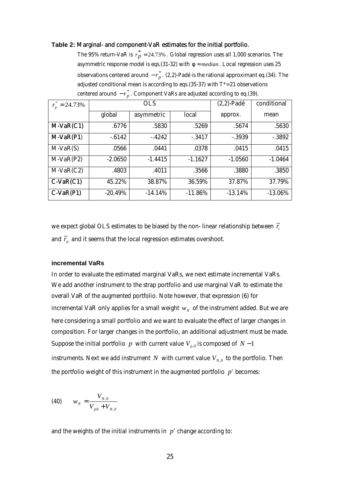#### **Table 2:** Marginal- and component-VaR estimates for the initial portfolio.

The 95% return-VaR is  $r_p^*$  = 24.73% . Global regression uses all 1,000 scenarios. The asymmetric response model is eqs.(31-32) with *f* = *median* . Local regression uses 25 observations centered around  $-r_p^*$  . (2,2)-Padé is the rational approximant eq.(34). The adjusted conditional mean is according to eqs.(35-37) with  $T^* = 21$  observations centered around  $-r_p^*$ . Component VaRs are adjusted according to eq.(39).

| $r_n^* = 24.73\%$ |            | <b>OLS</b> | $(2,2)$ -Padé | conditional |            |
|-------------------|------------|------------|---------------|-------------|------------|
|                   | global     | asymmetric | local         | approx.     | mean       |
| $M-VaR(C1)$       | .6776      | .5830      | .5269         | .5674       | .5630      |
| $M-VaR(P1)$       | $-6142$    | $-4242$    | $-3417$       | $-0.3939$   | $-0.3892$  |
| $M-VaR(S)$        | .0566      | .0441      | .0378         | .0415       | .0415      |
| $M-VaR(P2)$       | $-2.0650$  | $-1.4415$  | $-1.1627$     | $-1.0560$   | $-1.0464$  |
| $M-VaR(C2)$       | .4803      | .4011      | .3566         | .3880       | .3850      |
| $C-VaR(C1)$       | 45.22%     | 38.87%     | 36.59%        | 37.87%      | 37.79%     |
| $C-VaR(P1)$       | $-20.49\%$ | $-14.14%$  | $-11.86%$     | $-13.14%$   | $-13.06\%$ |

we expect global OLS estimates to be biased by the non-linear relationship between  $\tilde{r}_i$ and  $\widetilde{r}_{p}^{\prime}$  and it seems that the local regression estimates overshoot.

#### **incremental VaRs**

In order to evaluate the estimated marginal VaRs, we next estimate incremental VaRs. We add another instrument to the strap portfolio and use marginal VaR to estimate the overall VaR of the augmented portfolio. Note however, that expression (6) for incremental VaR only applies for a small weight  $w_{_N}$  of the instrument added. But we are here considering a small portfolio and we want to evaluate the effect of larger changes in composition. For larger changes in the portfolio, an additional adjustment must be made. Suppose the initial portfolio *p* with current value  $V_{p,0}$  is composed of  $N-1$ instruments. Next we add instrument  $N$  with current value  $V_{N,0}$  to the portfolio. Then the portfolio weight of this instrument in the augmented portfolio *p*' becomes:

(40) 
$$
w_N = \frac{V_{N,0}}{V_{p0} + V_{N,0}}
$$

and the weights of the initial instruments in  $p'$  change according to: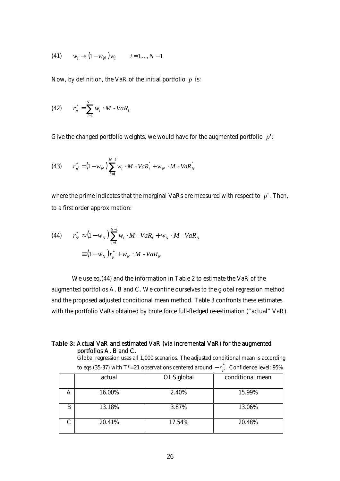(41) 
$$
w_i \to (1 - w_N) w_i
$$
  $i = 1,..., N - 1$ 

Now, by definition, the VaR of the initial portfolio *p* is:

(42) 
$$
r_p^* = \sum_{i=1}^{N-1} w_i \cdot M - VaR_i
$$

Give the changed portfolio weights, we would have for the augmented portfolio *p*':

(43) 
$$
r_{p'}^{*} = (1 - w_N) \sum_{i=1}^{N-1} w_i \cdot M - VaR_i + w_N \cdot M - VaR_N
$$

where the prime indicates that the marginal VaRs are measured with respect to *p*'. Then, to a first order approximation:

(44) 
$$
r_{p'}^* \approx (1 - w_N) \sum_{i=1}^{N-1} w_i \cdot M - VaR_i + w_N \cdot M - VaR_N
$$

$$
\equiv (1 - w_N) r_p^* + w_N \cdot M - VaR_N
$$

We use eq.(44) and the information in Table 2 to estimate the VaR of the augmented portfolios A, B and C. We confine ourselves to the global regression method and the proposed adjusted conditional mean method. Table 3 confronts these estimates with the portfolio VaRs obtained by brute force full-fledged re-estimation ("actual" VaR).

## **Table 3:** Actual VaR and estimated VaR (via incremental VaR) for the augmented portfolios A, B and C.

Global regression uses all 1,000 scenarios. The adjusted conditional mean is according to eqs.(35-37) with T\*=21 observations centered around  $-r_p^*$ . Confidence level: 95%.

|   | actual | OLS global | conditional mean |
|---|--------|------------|------------------|
|   | 16.00% | 2.40%      | 15.99%           |
| B | 13.18% | 3.87%      | 13.06%           |
|   | 20.41% | 17.54%     | 20.48%           |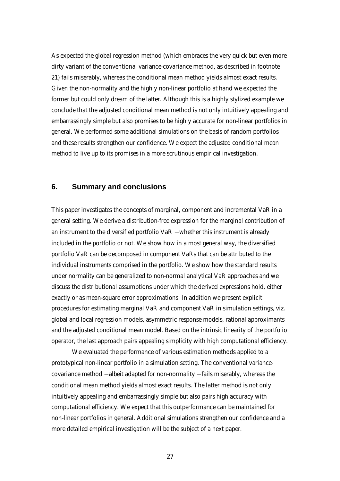As expected the global regression method (which embraces the very quick but even more dirty variant of the conventional variance-covariance method, as described in footnote 21) fails miserably, whereas the conditional mean method yields almost exact results. Given the non-normality and the highly non-linear portfolio at hand we expected the former but could only dream of the latter. Although this is a highly stylized example we conclude that the adjusted conditional mean method is not only intuitively appealing and embarrassingly simple but also promises to be highly accurate for non-linear portfolios in general. We performed some additional simulations on the basis of random portfolios and these results strengthen our confidence. We expect the adjusted conditional mean method to live up to its promises in a more scrutinous empirical investigation.

## **6. Summary and conclusions**

This paper investigates the concepts of marginal, component and incremental VaR in a general setting. We derive a distribution-free expression for the marginal contribution of an instrument to the diversified portfolio VaR − whether this instrument is already included in the portfolio or not. We show how in a most general way, the diversified portfolio VaR can be decomposed in component VaRs that can be attributed to the individual instruments comprised in the portfolio. We show how the standard results under normality can be generalized to non-normal analytical VaR approaches and we discuss the distributional assumptions under which the derived expressions hold, either exactly or as mean-square error approximations. In addition we present explicit procedures for estimating marginal VaR and component VaR in simulation settings, viz. global and local regression models, asymmetric response models, rational approximants and the adjusted conditional mean model. Based on the intrinsic linearity of the portfolio operator, the last approach pairs appealing simplicity with high computational efficiency.

We evaluated the performance of various estimation methods applied to a prototypical non-linear portfolio in a simulation setting. The conventional variancecovariance method − albeit adapted for non-normality − fails miserably, whereas the conditional mean method yields almost exact results. The latter method is not only intuitively appealing and embarrassingly simple but also pairs high accuracy with computational efficiency. We expect that this outperformance can be maintained for non-linear portfolios in general. Additional simulations strengthen our confidence and a more detailed empirical investigation will be the subject of a next paper.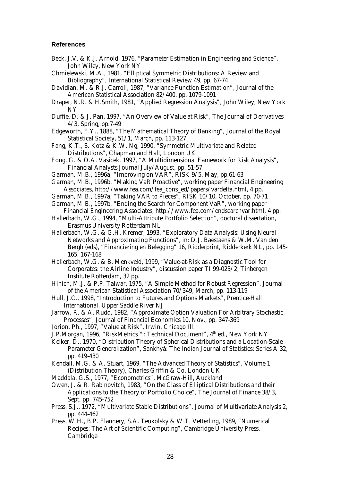#### **References**

- Beck, J.V. & K.J. Arnold, 1976, *"Parameter Estimation in Engineering and Science"*, John Wiley, New York NY
- Chmielewski, M.A., 1981, "Elliptical Symmetric Distributions: A Review and Bibliography", *International Statistical Review* 49, pp. 67-74
- Davidian, M. & R.J. Carroll, 1987, "Variance Function Estimation", *Journal of the American Statistical Association* 82/400, pp. 1079-1091
- Draper, N.R. & H.Smith, 1981, *"Applied Regression Analysis"*, John Wiley, New York NY
- Duffie, D. & J. Pan, 1997, "An Overview of Value at Risk", *The Journal of Derivatives* 4/3, Spring, pp.7-49
- Edgeworth, F.Y., 1888, "The Mathematical Theory of Banking", *Journal of the Royal Statistical Society*, 51/1, March, pp. 113-127
- Fang, K.T., S. Kotz & K.W. Ng, 1990, *"Symmetric Multivariate and Related Distributions"*, Chapman and Hall, London UK
- Fong, G. & O.A. Vasicek, 1997, "A Multidimensional Famework for Risk Analysis", *Financial Analysts Journal* July/August, pp. 51-57
- Garman, M.B., 1996a, "Improving on VAR", *RISK* 9/5, May, pp.61-63
- Garman, M.B., 1996b, "Making VaR Proactive", working paper Financial Engineering Associates, http://www.fea.com/fea\_cons\_ed/papers/vardelta.html, 4 pp.
- Garman, M.B., 1997a, "Taking VAR to Pieces", *RISK* 10/10, October, pp. 70-71
- Garman, M.B., 1997b, "Ending the Search for Component VaR", working paper Financial Engineering Associates, http://www.fea.com/endsearchvar.html, 4 pp.
- Hallerbach, W.G., 1994, *"Multi-Attribute Portfolio Selection*", doctoral dissertation, Erasmus University Rotterdam NL
- Hallerbach, W.G. & G.H. Kremer, 1993, "Exploratory Data Analysis: Using Neural Networks and Approximating Functions", in: D.J. Baestaens & W.M. Van den Bergh (eds), "*Financiering en Belegging*" 16, Ridderprint, Ridderkerk NL, pp. 145- 165, 167-168
- Hallerbach, W.G. & B. Menkveld, 1999, "Value-at-Risk as a Diagnostic Tool for Corporates: the Airline Industry", discussion paper TI 99-023/2, Tinbergen Institute Rotterdam, 32 pp.
- Hinich, M.J. & P.P. Talwar, 1975, "A Simple Method for Robust Regression", *Journal of the American Statistical Association* 70/349, March, pp. 113-119
- Hull, J.C., 1998, *"Introduction to Futures and Options Markets"*, Prentice-Hall International, Upper Saddle River NJ
- Jarrow, R. & A. Rudd, 1982, "Approximate Option Valuation For Arbitrary Stochastic Processes", *Journal of Financial Economics* 10, Nov., pp. 347-369
- Jorion, Ph., 1997, *"Value at Risk"*, Irwin, Chicago Ill.
- J.P.Morgan, 1996, *"RiskMetrics™: Technical Document"*, 4th ed., New York NY
- Kelker, D., 1970, "Distribution Theory of Spherical Distributions and a Location-Scale Parameter Generalization", *Sankhyá: The Indian Journal of Statistics: Series A* 32, pp. 419-430
- Kendall, M.G. & A. Stuart, 1969, *"The Advanced Theory of Statistics"*, Volume 1 (Distribution Theory), Charles Griffin & Co, London UK
- Maddala, G.S., 1977, *"Econometrics"*, McGraw-Hill, Auckland
- Owen, J. & R. Rabinovitch, 1983, "On the Class of Elliptical Distributions and their Applications to the Theory of Portfolio Choice", *The Journal of Finance* 38/3, Sept, pp. 745-752
- Press, S.J., 1972, "Multivariate Stable Distributions", *Journal of Multivariate Analysis* 2, pp. 444-462
- Press, W.H., B.P. Flannery, S.A. Teukolsky & W.T. Vetterling, 1989, *"Numerical Recipes: The Art of Scientific Computing"*, Cambridge University Press, Cambridge